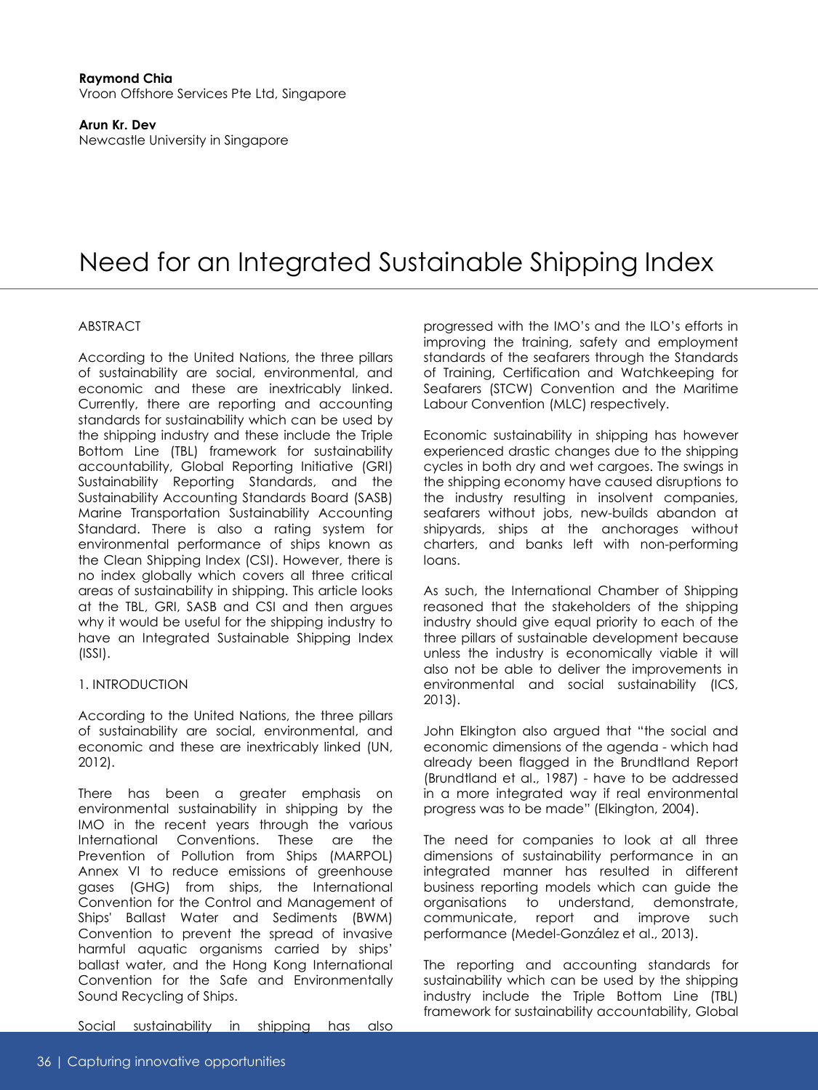#### **Raymond Chia** Vroon Offshore Services Pte Ltd, Singapore

**Arun Kr. Dev** Newcastle University in Singapore

# Need for an Integrated Sustainable Shipping Index

## ABSTRACT

According to the United Nations, the three pillars of sustainability are social, environmental, and economic and these are inextricably linked. Currently, there are reporting and accounting standards for sustainability which can be used by the shipping industry and these include the Triple Bottom Line (TBL) framework for sustainability accountability, Global Reporting Initiative (GRI) Sustainability Reporting Standards, and the Sustainability Accounting Standards Board (SASB) Marine Transportation Sustainability Accounting Standard. There is also a rating system for environmental performance of ships known as the Clean Shipping Index (CSI). However, there is no index globally which covers all three critical areas of sustainability in shipping. This article looks at the TBL, GRI, SASB and CSI and then argues why it would be useful for the shipping industry to have an Integrated Sustainable Shipping Index (ISSI).

### 1. INTRODUCTION

According to the United Nations, the three pillars of sustainability are social, environmental, and economic and these are inextricably linked (UN, 2012).

There has been a greater emphasis on environmental sustainability in shipping by the IMO in the recent years through the various International Conventions. These are the Prevention of Pollution from Ships (MARPOL) Annex VI to reduce emissions of greenhouse gases (GHG) from ships, the International Convention for the Control and Management of Ships' Ballast Water and Sediments (BWM) Convention to prevent the spread of invasive harmful aquatic organisms carried by ships' ballast water, and the Hong Kong International Convention for the Safe and Environmentally Sound Recycling of Ships.

Social sustainability in shipping has also

progressed with the IMO's and the ILO's efforts in improving the training, safety and employment standards of the seafarers through the Standards of Training, Certification and Watchkeeping for Seafarers (STCW) Convention and the Maritime Labour Convention (MLC) respectively.

Economic sustainability in shipping has however experienced drastic changes due to the shipping cycles in both dry and wet cargoes. The swings in the shipping economy have caused disruptions to the industry resulting in insolvent companies, seafarers without jobs, new-builds abandon at shipyards, ships at the anchorages without charters, and banks left with non-performing loans.

As such, the International Chamber of Shipping reasoned that the stakeholders of the shipping industry should give equal priority to each of the three pillars of sustainable development because unless the industry is economically viable it will also not be able to deliver the improvements in environmental and social sustainability (ICS, 2013).

John Elkington also argued that "the social and economic dimensions of the agenda - which had already been flagged in the Brundtland Report (Brundtland et al., 1987) - have to be addressed in a more integrated way if real environmental progress was to be made" (Elkington, 2004).

The need for companies to look at all three dimensions of sustainability performance in an integrated manner has resulted in different business reporting models which can guide the organisations to understand, demonstrate, communicate, report and improve such performance (Medel-González et al., 2013).

The reporting and accounting standards for sustainability which can be used by the shipping industry include the Triple Bottom Line (TBL) framework for sustainability accountability, Global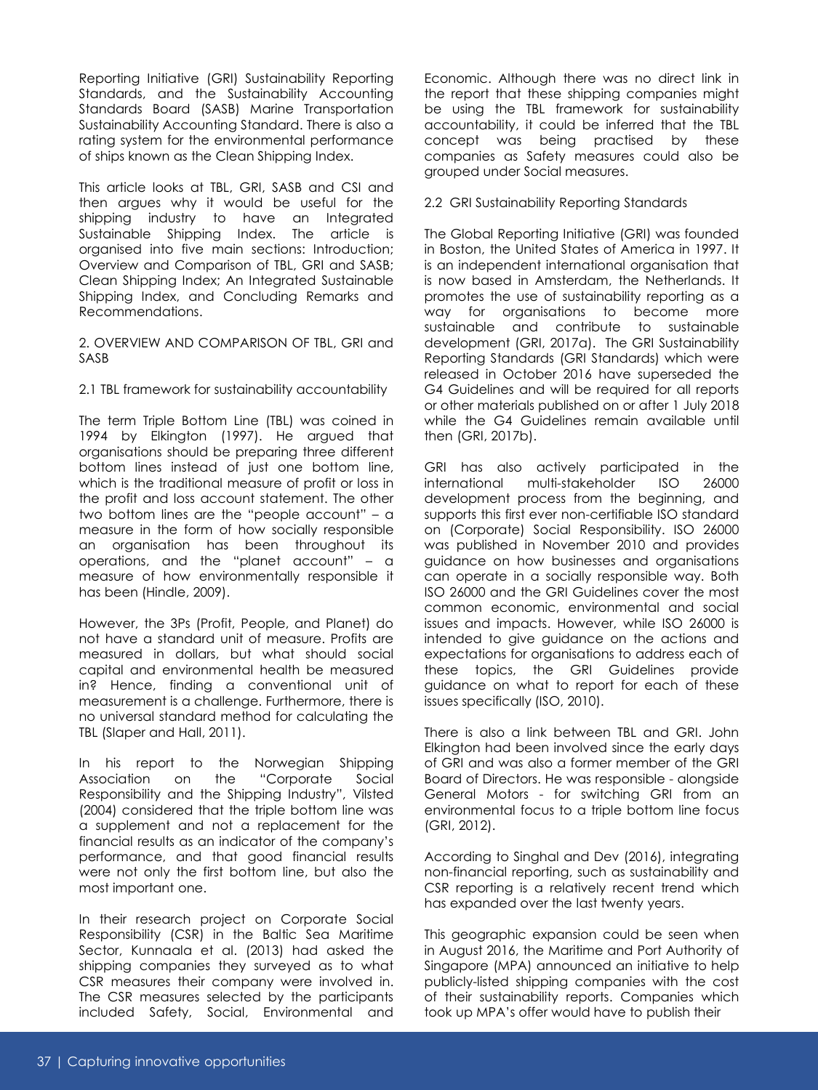Reporting Initiative (GRI) Sustainability Reporting Standards, and the Sustainability Accounting Standards Board (SASB) Marine Transportation Sustainability Accounting Standard. There is also a rating system for the environmental performance of ships known as the Clean Shipping Index.

This article looks at TBL, GRI, SASB and CSI and then argues why it would be useful for the shipping industry to have an Integrated Sustainable Shipping Index. The article is organised into five main sections: Introduction; Overview and Comparison of TBL, GRI and SASB; Clean Shipping Index; An Integrated Sustainable Shipping Index, and Concluding Remarks and Recommendations.

2. OVERVIEW AND COMPARISON OF TBL, GRI and SASB

2.1 TBL framework for sustainability accountability

The term Triple Bottom Line (TBL) was coined in 1994 by Elkington (1997). He argued that organisations should be preparing three different bottom lines instead of just one bottom line, which is the traditional measure of profit or loss in the profit and loss account statement. The other two bottom lines are the "people account" – a measure in the form of how socially responsible an organisation has been throughout its operations, and the "planet account" – a measure of how environmentally responsible it has been (Hindle, 2009).

However, the 3Ps (Profit, People, and Planet) do not have a standard unit of measure. Profits are measured in dollars, but what should social capital and environmental health be measured in? Hence, finding a conventional unit of measurement is a challenge. Furthermore, there is no universal standard method for calculating the TBL (Slaper and Hall, 2011).

In his report to the Norwegian Shipping Association on the "Corporate Social Responsibility and the Shipping Industry", Vilsted (2004) considered that the triple bottom line was a supplement and not a replacement for the financial results as an indicator of the company's performance, and that good financial results were not only the first bottom line, but also the most important one.

In their research project on Corporate Social Responsibility (CSR) in the Baltic Sea Maritime Sector, Kunnaala et al. (2013) had asked the shipping companies they surveyed as to what CSR measures their company were involved in. The CSR measures selected by the participants included Safety, Social, Environmental and Economic. Although there was no direct link in the report that these shipping companies might be using the TBL framework for sustainability accountability, it could be inferred that the TBL concept was being practised by these companies as Safety measures could also be grouped under Social measures.

## 2.2 GRI Sustainability Reporting Standards

The Global Reporting Initiative (GRI) was founded in Boston, the United States of America in 1997. It is an independent international organisation that is now based in Amsterdam, the Netherlands. It promotes the use of sustainability reporting as a way for organisations to become more sustainable and contribute to sustainable development (GRI, 2017a). The GRI Sustainability Reporting Standards (GRI Standards) which were released in October 2016 have superseded the G4 Guidelines and will be required for all reports or other materials published on or after 1 July 2018 while the G4 Guidelines remain available until then (GRI, 2017b).

GRI has also actively participated in the international multi-stakeholder ISO 26000 development process from the beginning, and supports this first ever non-certifiable ISO standard on (Corporate) Social Responsibility. ISO 26000 was published in November 2010 and provides guidance on how businesses and organisations can operate in a socially responsible way. Both ISO 26000 and the GRI Guidelines cover the most common economic, environmental and social issues and impacts. However, while ISO 26000 is intended to give guidance on the actions and expectations for organisations to address each of these topics, the GRI Guidelines provide guidance on what to report for each of these issues specifically (ISO, 2010).

There is also a link between TBL and GRI. John Elkington had been involved since the early days of GRI and was also a former member of the GRI Board of Directors. He was responsible - alongside General Motors - for switching GRI from an environmental focus to a triple bottom line focus (GRI, 2012).

According to Singhal and Dev (2016), integrating non-financial reporting, such as sustainability and CSR reporting is a relatively recent trend which has expanded over the last twenty years.

This geographic expansion could be seen when in August 2016, the Maritime and Port Authority of Singapore (MPA) announced an initiative to help publicly-listed shipping companies with the cost of their sustainability reports. Companies which took up MPA's offer would have to publish their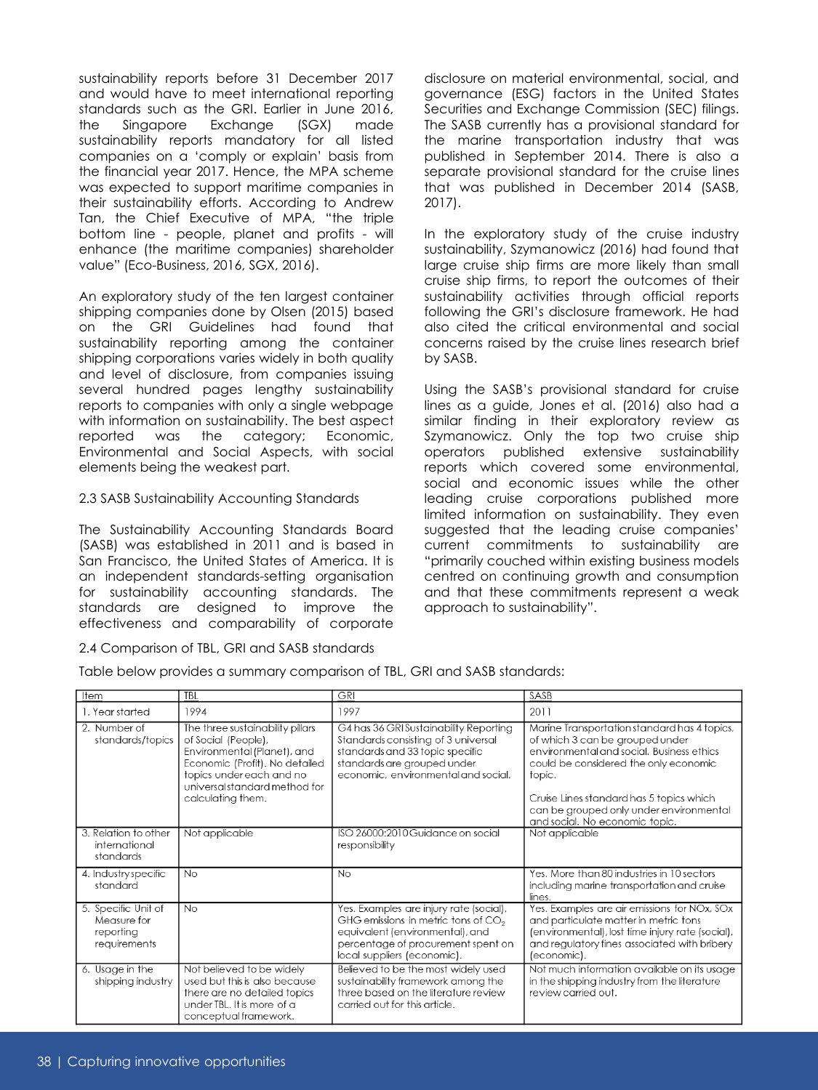sustainability reports before 31 December 2017 and would have to meet international reporting standards such as the GRI. Earlier in June 2016, the Singapore Exchange (SGX) made sustainability reports mandatory for all listed companies on a 'comply or explain' basis from the financial year 2017. Hence, the MPA scheme was expected to support maritime companies in their sustainability efforts. According to Andrew Tan, the Chief Executive of MPA, "the triple bottom line - people, planet and profits - will enhance (the maritime companies) shareholder value" (Eco-Business, 2016, SGX, 2016).

An exploratory study of the ten largest container shipping companies done by Olsen (2015) based on the GRI Guidelines had found that sustainability reporting among the container shipping corporations varies widely in both quality and level of disclosure, from companies issuing several hundred pages lengthy sustainability reports to companies with only a single webpage with information on sustainability. The best aspect reported was the category; Economic, Environmental and Social Aspects, with social elements being the weakest part.

## 2.3 SASB Sustainability Accounting Standards

The Sustainability Accounting Standards Board (SASB) was established in 2011 and is based in San Francisco, the United States of America. It is an independent standards-setting organisation for sustainability accounting standards. The standards are designed to improve the effectiveness and comparability of corporate

### 2.4 Comparison of TBL, GRI and SASB standards

disclosure on material environmental, social, and governance (ESG) factors in the United States Securities and Exchange Commission (SEC) filings. The SASB currently has a provisional standard for the marine transportation industry that was published in September 2014. There is also a separate provisional standard for the cruise lines that was published in December 2014 (SASB, 2017).

In the exploratory study of the cruise industry sustainability, Szymanowicz (2016) had found that large cruise ship firms are more likely than small cruise ship firms, to report the outcomes of their sustainability activities through official reports following the GRI's disclosure framework. He had also cited the critical environmental and social concerns raised by the cruise lines research brief by SASB.

Using the SASB's provisional standard for cruise lines as a guide, Jones et al. (2016) also had a similar finding in their exploratory review as Szymanowicz. Only the top two cruise ship operators published extensive sustainability reports which covered some environmental, social and economic issues while the other leading cruise corporations published more limited information on sustainability. They even suggested that the leading cruise companies' current commitments to sustainability are "primarily couched within existing business models centred on continuing growth and consumption and that these commitments represent a weak approach to sustainability".

| ıfem                                                            | IBL                                                                                                                                                                                                        | UKI                                                                                                                                                                                      | ১Ἀ১চ                                                                                                                                                                                                                                                                                                     |
|-----------------------------------------------------------------|------------------------------------------------------------------------------------------------------------------------------------------------------------------------------------------------------------|------------------------------------------------------------------------------------------------------------------------------------------------------------------------------------------|----------------------------------------------------------------------------------------------------------------------------------------------------------------------------------------------------------------------------------------------------------------------------------------------------------|
| 1. Year started                                                 | 1994                                                                                                                                                                                                       | 1997                                                                                                                                                                                     | 2011                                                                                                                                                                                                                                                                                                     |
| 2. Number of<br>standards/topics                                | The three sustainability pillars<br>of Social (People),<br>Environmental (Planet), and<br>Economic (Profit). No detailed<br>topics under each and no<br>universal standard method for<br>calculating them. | G4 has 36 GRI Sustainability Reporting<br>Standards consisting of 3 universal<br>standards and 33 topic specific<br>standards are grouped under<br>economic, environmental and social.   | Marine Transportation standard has 4 topics,<br>of which 3 can be grouped under<br>environmental and social. Business ethics<br>could be considered the only economic<br>topic.<br>Cruise Lines standard has 5 topics which<br>can be grouped only under environmental<br>and social. No economic topic. |
| 3. Relation to other<br>international<br>standards              | Not applicable                                                                                                                                                                                             | ISO 26000:2010 Guidance on social<br>responsibility                                                                                                                                      | Not applicable                                                                                                                                                                                                                                                                                           |
| 4. Industry specific<br>standard                                | <b>No</b>                                                                                                                                                                                                  | No                                                                                                                                                                                       | Yes. More than 80 industries in 10 sectors<br>including marine transportation and cruise<br>lines.                                                                                                                                                                                                       |
| 5. Specific Unit of<br>Measure for<br>reporting<br>requirements | <b>No</b>                                                                                                                                                                                                  | Yes. Examples are injury rate (social),<br>GHG emissions in metric tons of $CO2$<br>equivalent (environmental), and<br>percentage of procurement spent on<br>local suppliers (economic). | Yes. Examples are air emissions for NOx, SOx<br>and particulate matter in metric tons<br>(environmental), lost time injury rate (social),<br>and regulatory fines associated with bribery<br>(economic).                                                                                                 |
| 6. Usage in the<br>shipping industry                            | Not believed to be widely<br>used but this is also because<br>there are no detailed topics<br>under TBL. It is more of a<br>conceptual framework.                                                          | Believed to be the most widely used<br>sustainability framework among the<br>three based on the literature review<br>carried out for this article.                                       | Not much information available on its usage<br>in the shipping industry from the literature<br>review carried out.                                                                                                                                                                                       |

Table below provides a summary comparison of TBL, GRI and SASB standards: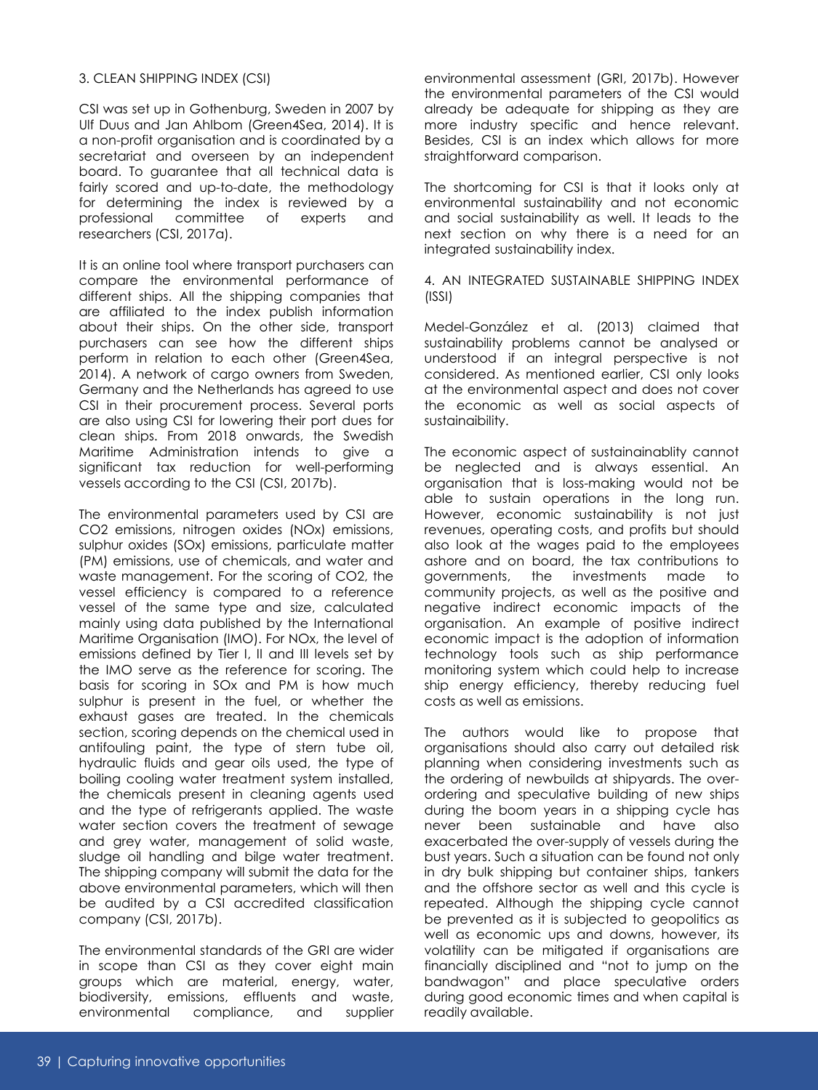## 3. CLEAN SHIPPING INDEX (CSI)

CSI was set up in Gothenburg, Sweden in 2007 by Ulf Duus and Jan Ahlbom (Green4Sea, 2014). It is a non-profit organisation and is coordinated by a secretariat and overseen by an independent board. To guarantee that all technical data is fairly scored and up-to-date, the methodology for determining the index is reviewed by a professional committee of experts and researchers (CSI, 2017a).

It is an online tool where transport purchasers can compare the environmental performance of different ships. All the shipping companies that are affiliated to the index publish information about their ships. On the other side, transport purchasers can see how the different ships perform in relation to each other (Green4Sea, 2014). A network of cargo owners from Sweden, Germany and the Netherlands has agreed to use CSI in their procurement process. Several ports are also using CSI for lowering their port dues for clean ships. From 2018 onwards, the Swedish Maritime Administration intends to give a significant tax reduction for well-performing vessels according to the CSI (CSI, 2017b).

The environmental parameters used by CSI are CO2 emissions, nitrogen oxides (NOx) emissions, sulphur oxides (SOx) emissions, particulate matter (PM) emissions, use of chemicals, and water and waste management. For the scoring of CO2, the vessel efficiency is compared to a reference vessel of the same type and size, calculated mainly using data published by the International Maritime Organisation (IMO). For NOx, the level of emissions defined by Tier I, II and III levels set by the IMO serve as the reference for scoring. The basis for scoring in SOx and PM is how much sulphur is present in the fuel, or whether the exhaust gases are treated. In the chemicals section, scoring depends on the chemical used in antifouling paint, the type of stern tube oil, hydraulic fluids and gear oils used, the type of boiling cooling water treatment system installed, the chemicals present in cleaning agents used and the type of refrigerants applied. The waste water section covers the treatment of sewage and grey water, management of solid waste, sludge oil handling and bilge water treatment. The shipping company will submit the data for the above environmental parameters, which will then be audited by a CSI accredited classification company (CSI, 2017b).

The environmental standards of the GRI are wider in scope than CSI as they cover eight main groups which are material, energy, water, biodiversity, emissions, effluents and waste, environmental compliance, and supplier

environmental assessment (GRI, 2017b). However the environmental parameters of the CSI would already be adequate for shipping as they are more industry specific and hence relevant. Besides, CSI is an index which allows for more straightforward comparison.

The shortcoming for CSI is that it looks only at environmental sustainability and not economic and social sustainability as well. It leads to the next section on why there is a need for an integrated sustainability index.

#### 4. AN INTEGRATED SUSTAINABLE SHIPPING INDEX (ISSI)

Medel-González et al. (2013) claimed that sustainability problems cannot be analysed or understood if an integral perspective is not considered. As mentioned earlier, CSI only looks at the environmental aspect and does not cover the economic as well as social aspects of sustainaibility.

The economic aspect of sustainainablity cannot be neglected and is always essential. An organisation that is loss-making would not be able to sustain operations in the long run. However, economic sustainability is not just revenues, operating costs, and profits but should also look at the wages paid to the employees ashore and on board, the tax contributions to governments, the investments made to community projects, as well as the positive and negative indirect economic impacts of the organisation. An example of positive indirect economic impact is the adoption of information technology tools such as ship performance monitoring system which could help to increase ship energy efficiency, thereby reducing fuel costs as well as emissions.

The authors would like to propose that organisations should also carry out detailed risk planning when considering investments such as the ordering of newbuilds at shipyards. The overordering and speculative building of new ships during the boom years in a shipping cycle has never been sustainable and have also exacerbated the over-supply of vessels during the bust years. Such a situation can be found not only in dry bulk shipping but container ships, tankers and the offshore sector as well and this cycle is repeated. Although the shipping cycle cannot be prevented as it is subjected to geopolitics as well as economic ups and downs, however, its volatility can be mitigated if organisations are financially disciplined and "not to jump on the bandwagon" and place speculative orders during good economic times and when capital is readily available.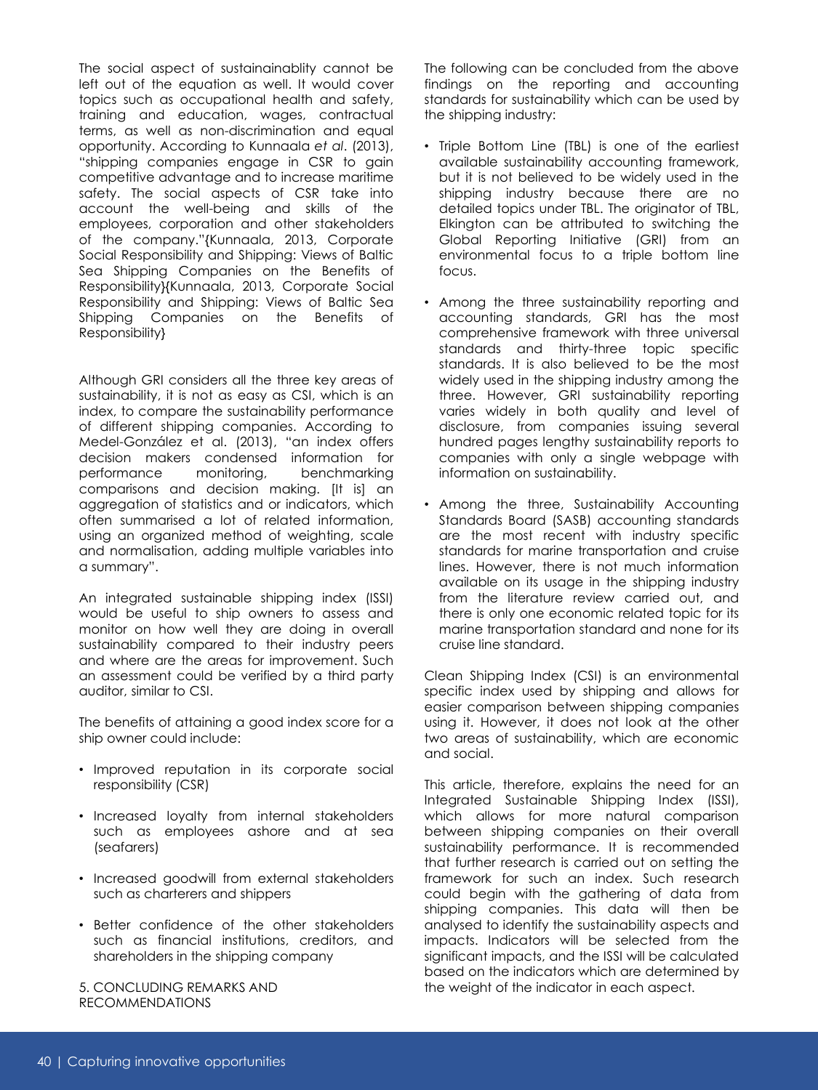The social aspect of sustainainablity cannot be left out of the equation as well. It would cover topics such as occupational health and safety, training and education, wages, contractual terms, as well as non-discrimination and equal opportunity. According to Kunnaala *et al*. (2013), "shipping companies engage in CSR to gain competitive advantage and to increase maritime safety. The social aspects of CSR take into account the well-being and skills of the employees, corporation and other stakeholders of the company."{Kunnaala, 2013, Corporate Social Responsibility and Shipping: Views of Baltic Sea Shipping Companies on the Benefits of Responsibility}{Kunnaala, 2013, Corporate Social Responsibility and Shipping: Views of Baltic Sea Shipping Companies on the Benefits of Responsibility}

Although GRI considers all the three key areas of sustainability, it is not as easy as CSI, which is an index, to compare the sustainability performance of different shipping companies. According to Medel-González et al. (2013), "an index offers decision makers condensed information for performance monitoring, benchmarking comparisons and decision making. [It is] an aggregation of statistics and or indicators, which often summarised a lot of related information, using an organized method of weighting, scale and normalisation, adding multiple variables into a summary".

An integrated sustainable shipping index (ISSI) would be useful to ship owners to assess and monitor on how well they are doing in overall sustainability compared to their industry peers and where are the areas for improvement. Such an assessment could be verified by a third party auditor, similar to CSI.

The benefits of attaining a good index score for a ship owner could include:

- Improved reputation in its corporate social responsibility (CSR)
- Increased loyalty from internal stakeholders such as employees ashore and at sea (seafarers)
- Increased goodwill from external stakeholders such as charterers and shippers
- Better confidence of the other stakeholders such as financial institutions, creditors, and shareholders in the shipping company

5. CONCLUDING REMARKS AND RECOMMENDATIONS

The following can be concluded from the above findings on the reporting and accounting standards for sustainability which can be used by the shipping industry:

- Triple Bottom Line (TBL) is one of the earliest available sustainability accounting framework, but it is not believed to be widely used in the shipping industry because there are no detailed topics under TBL. The originator of TBL, Elkington can be attributed to switching the Global Reporting Initiative (GRI) from an environmental focus to a triple bottom line focus.
- Among the three sustainability reporting and accounting standards, GRI has the most comprehensive framework with three universal standards and thirty-three topic specific standards. It is also believed to be the most widely used in the shipping industry among the three. However, GRI sustainability reporting varies widely in both quality and level of disclosure, from companies issuing several hundred pages lengthy sustainability reports to companies with only a single webpage with information on sustainability.
- Among the three, Sustainability Accounting Standards Board (SASB) accounting standards are the most recent with industry specific standards for marine transportation and cruise lines. However, there is not much information available on its usage in the shipping industry from the literature review carried out, and there is only one economic related topic for its marine transportation standard and none for its cruise line standard.

Clean Shipping Index (CSI) is an environmental specific index used by shipping and allows for easier comparison between shipping companies using it. However, it does not look at the other two areas of sustainability, which are economic and social.

This article, therefore, explains the need for an Integrated Sustainable Shipping Index (ISSI), which allows for more natural comparison between shipping companies on their overall sustainability performance. It is recommended that further research is carried out on setting the framework for such an index. Such research could begin with the gathering of data from shipping companies. This data will then be analysed to identify the sustainability aspects and impacts. Indicators will be selected from the significant impacts, and the ISSI will be calculated based on the indicators which are determined by the weight of the indicator in each aspect.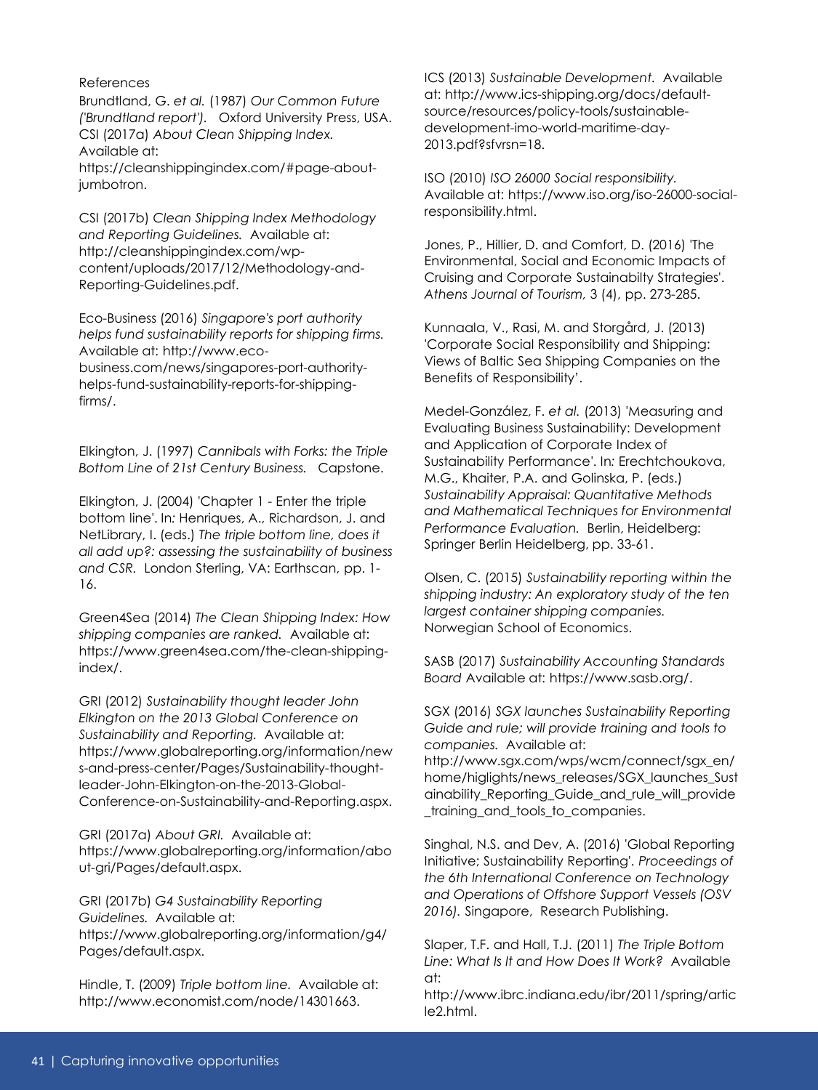### References

Brundtland, G. *et al.* (1987) *Our Common Future ('Brundtland report').* Oxford University Press, USA. CSI (2017a) *About Clean Shipping Index.*  Available at:

https://cleanshippingindex.com/#page-aboutjumbotron.

CSI (2017b) *Clean Shipping Index Methodology and Reporting Guidelines.* Available at: http://cleanshippingindex.com/wpcontent/uploads/2017/12/Methodology-and-Reporting-Guidelines.pdf.

Eco-Business (2016) *Singapore's port authority helps fund sustainability reports for shipping firms.*  Available at: http://www.ecobusiness.com/news/singapores-port-authorityhelps-fund-sustainability-reports-for-shippingfirms/.

Elkington, J. (1997) *Cannibals with Forks: the Triple Bottom Line of 21st Century Business.* Capstone.

Elkington, J. (2004) 'Chapter 1 - Enter the triple bottom line*'*. In*:* Henriques, A., Richardson, J. and NetLibrary, I. (eds.) *The triple bottom line, does it all add up?: assessing the sustainability of business and CSR.* London Sterling, VA: Earthscan, pp. 1- 16.

Green4Sea (2014) *The Clean Shipping Index: How shipping companies are ranked.* Available at: https://www.green4sea.com/the-clean-shippingindex/.

GRI (2012) *Sustainability thought leader John Elkington on the 2013 Global Conference on Sustainability and Reporting.* Available at: https://www.globalreporting.org/information/new s-and-press-center/Pages/Sustainability-thoughtleader-John-Elkington-on-the-2013-Global-Conference-on-Sustainability-and-Reporting.aspx.

GRI (2017a) *About GRI.* Available at: https://www.globalreporting.org/information/abo ut-gri/Pages/default.aspx.

GRI (2017b) *G4 Sustainability Reporting Guidelines.* Available at: https://www.globalreporting.org/information/g4/ Pages/default.aspx.

Hindle, T. (2009) *Triple bottom line.* Available at: http://www.economist.com/node/14301663.

ICS (2013) *Sustainable Development.* Available at: http://www.ics-shipping.org/docs/defaultsource/resources/policy-tools/sustainabledevelopment-imo-world-maritime-day-2013.pdf?sfvrsn=18.

ISO (2010) *ISO 26000 Social responsibility.*  Available at: https://www.iso.org/iso-26000-socialresponsibility.html.

Jones, P., Hillier, D. and Comfort, D. (2016) 'The Environmental, Social and Economic Impacts of Cruising and Corporate Sustainabilty Strategies'. *Athens Journal of Tourism,* 3 (4), pp. 273-285.

Kunnaala, V., Rasi, M. and Storgård, J. (2013) 'Corporate Social Responsibility and Shipping: Views of Baltic Sea Shipping Companies on the Benefits of Responsibility'.

Medel-González, F. *et al.* (2013) 'Measuring and Evaluating Business Sustainability: Development and Application of Corporate Index of Sustainability Performance*'*. In*:* Erechtchoukova, M.G., Khaiter, P.A. and Golinska, P. (eds.) *Sustainability Appraisal: Quantitative Methods and Mathematical Techniques for Environmental Performance Evaluation.* Berlin, Heidelberg: Springer Berlin Heidelberg, pp. 33-61.

Olsen, C. (2015) *Sustainability reporting within the shipping industry: An exploratory study of the ten largest container shipping companies.* Norwegian School of Economics.

SASB (2017) *Sustainability Accounting Standards Board* Available at: https://www.sasb.org/.

SGX (2016) *SGX launches Sustainability Reporting Guide and rule; will provide training and tools to companies.* Available at:

http://www.sgx.com/wps/wcm/connect/sgx\_en/ home/higlights/news\_releases/SGX\_launches\_Sust ainability\_Reporting\_Guide\_and\_rule\_will\_provide \_training\_and\_tools\_to\_companies.

Singhal, N.S. and Dev, A. (2016) 'Global Reporting Initiative; Sustainability Reporting'. *Proceedings of the 6th International Conference on Technology and Operations of Offshore Support Vessels (OSV 2016).* Singapore, Research Publishing.

Slaper, T.F. and Hall, T.J. (2011) *The Triple Bottom Line: What Is It and How Does It Work?* Available at:

http://www.ibrc.indiana.edu/ibr/2011/spring/artic le2.html.